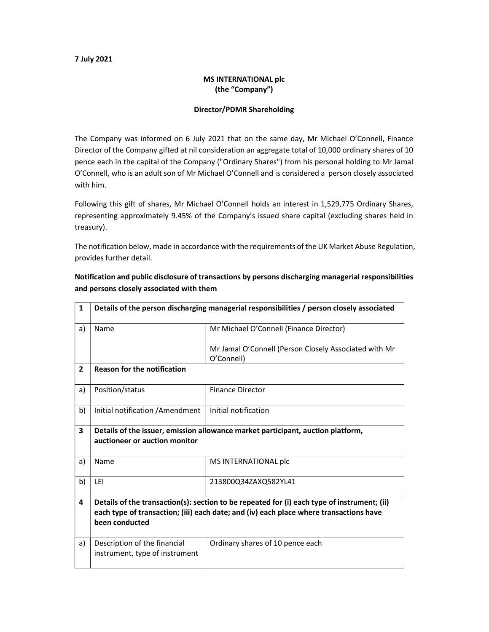## 7 July 2021

## MS INTERNATIONAL plc (the "Company")

## Director/PDMR Shareholding

The Company was informed on 6 July 2021 that on the same day, Mr Michael O'Connell, Finance Director of the Company gifted at nil consideration an aggregate total of 10,000 ordinary shares of 10 pence each in the capital of the Company ("Ordinary Shares") from his personal holding to Mr Jamal O'Connell, who is an adult son of Mr Michael O'Connell and is considered a person closely associated with him.

Following this gift of shares, Mr Michael O'Connell holds an interest in 1,529,775 Ordinary Shares, representing approximately 9.45% of the Company's issued share capital (excluding shares held in treasury).

The notification below, made in accordance with the requirements of the UK Market Abuse Regulation, provides further detail.

Notification and public disclosure of transactions by persons discharging managerial responsibilities and persons closely associated with them

| $\mathbf{1}$   | Details of the person discharging managerial responsibilities / person closely associated                                                                                                               |                                                                     |  |  |  |
|----------------|---------------------------------------------------------------------------------------------------------------------------------------------------------------------------------------------------------|---------------------------------------------------------------------|--|--|--|
| a)             | Name                                                                                                                                                                                                    | Mr Michael O'Connell (Finance Director)                             |  |  |  |
|                |                                                                                                                                                                                                         | Mr Jamal O'Connell (Person Closely Associated with Mr<br>O'Connell) |  |  |  |
| $\overline{2}$ | <b>Reason for the notification</b>                                                                                                                                                                      |                                                                     |  |  |  |
| a)             | Position/status                                                                                                                                                                                         | <b>Finance Director</b>                                             |  |  |  |
| b)             | Initial notification / Amendment                                                                                                                                                                        | Initial notification                                                |  |  |  |
| 3              | Details of the issuer, emission allowance market participant, auction platform,<br>auctioneer or auction monitor                                                                                        |                                                                     |  |  |  |
| a)             | Name                                                                                                                                                                                                    | MS INTERNATIONAL plc                                                |  |  |  |
| b)             | LEI                                                                                                                                                                                                     | 213800Q34ZAXQ582YL41                                                |  |  |  |
| 4              | Details of the transaction(s): section to be repeated for (i) each type of instrument; (ii)<br>each type of transaction; (iii) each date; and (iv) each place where transactions have<br>been conducted |                                                                     |  |  |  |
| a)             | Description of the financial<br>instrument, type of instrument                                                                                                                                          | Ordinary shares of 10 pence each                                    |  |  |  |